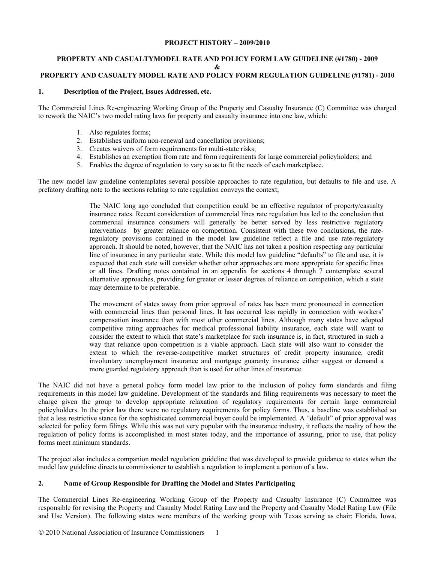## **PROJECT HISTORY – 2009/2010**

### **PROPERTY AND CASUALTYMODEL RATE AND POLICY FORM LAW GUIDELINE (#1780) - 2009 & PROPERTY AND CASUALTY MODEL RATE AND POLICY FORM REGULATION GUIDELINE (#1781) - 2010**

## **1. Description of the Project, Issues Addressed, etc.**

The Commercial Lines Re-engineering Working Group of the Property and Casualty Insurance (C) Committee was charged to rework the NAIC's two model rating laws for property and casualty insurance into one law, which:

- 1. Also regulates forms;
- 2. Establishes uniform non-renewal and cancellation provisions;
- 3. Creates waivers of form requirements for multi-state risks;
- 4. Establishes an exemption from rate and form requirements for large commercial policyholders; and
- 5. Enables the degree of regulation to vary so as to fit the needs of each marketplace.

The new model law guideline contemplates several possible approaches to rate regulation, but defaults to file and use. A prefatory drafting note to the sections relating to rate regulation conveys the context;

> The NAIC long ago concluded that competition could be an effective regulator of property/casualty insurance rates. Recent consideration of commercial lines rate regulation has led to the conclusion that commercial insurance consumers will generally be better served by less restrictive regulatory interventions—by greater reliance on competition. Consistent with these two conclusions, the rateregulatory provisions contained in the model law guideline reflect a file and use rate-regulatory approach. It should be noted, however, that the NAIC has not taken a position respecting any particular line of insurance in any particular state. While this model law guideline "defaults" to file and use, it is expected that each state will consider whether other approaches are more appropriate for specific lines or all lines. Drafting notes contained in an appendix for sections 4 through 7 contemplate several alternative approaches, providing for greater or lesser degrees of reliance on competition, which a state may determine to be preferable.

> The movement of states away from prior approval of rates has been more pronounced in connection with commercial lines than personal lines. It has occurred less rapidly in connection with workers' compensation insurance than with most other commercial lines. Although many states have adopted competitive rating approaches for medical professional liability insurance, each state will want to consider the extent to which that state's marketplace for such insurance is, in fact, structured in such a way that reliance upon competition is a viable approach. Each state will also want to consider the extent to which the reverse-competitive market structures of credit property insurance, credit involuntary unemployment insurance and mortgage guaranty insurance either suggest or demand a more guarded regulatory approach than is used for other lines of insurance.

The NAIC did not have a general policy form model law prior to the inclusion of policy form standards and filing requirements in this model law guideline. Development of the standards and filing requirements was necessary to meet the charge given the group to develop appropriate relaxation of regulatory requirements for certain large commercial policyholders. In the prior law there were no regulatory requirements for policy forms. Thus, a baseline was established so that a less restrictive stance for the sophisticated commercial buyer could be implemented. A "default" of prior approval was selected for policy form filings. While this was not very popular with the insurance industry, it reflects the reality of how the regulation of policy forms is accomplished in most states today, and the importance of assuring, prior to use, that policy forms meet minimum standards.

The project also includes a companion model regulation guideline that was developed to provide guidance to states when the model law guideline directs to commissioner to establish a regulation to implement a portion of a law.

## **2. Name of Group Responsible for Drafting the Model and States Participating**

The Commercial Lines Re-engineering Working Group of the Property and Casualty Insurance (C) Committee was responsible for revising the Property and Casualty Model Rating Law and the Property and Casualty Model Rating Law (File and Use Version). The following states were members of the working group with Texas serving as chair: Florida, Iowa,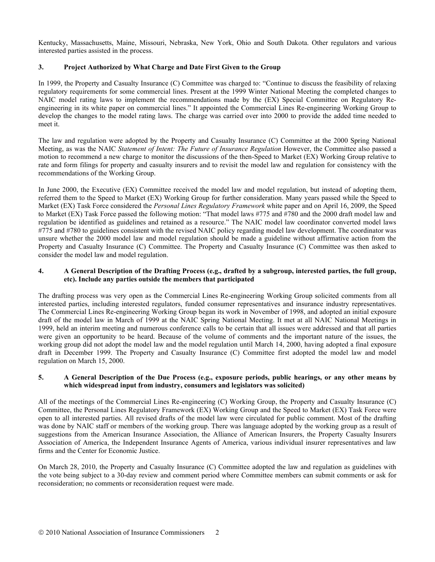Kentucky, Massachusetts, Maine, Missouri, Nebraska, New York, Ohio and South Dakota. Other regulators and various interested parties assisted in the process.

# **3. Project Authorized by What Charge and Date First Given to the Group**

In 1999, the Property and Casualty Insurance (C) Committee was charged to: "Continue to discuss the feasibility of relaxing regulatory requirements for some commercial lines. Present at the 1999 Winter National Meeting the completed changes to NAIC model rating laws to implement the recommendations made by the (EX) Special Committee on Regulatory Reengineering in its white paper on commercial lines." It appointed the Commercial Lines Re-engineering Working Group to develop the changes to the model rating laws. The charge was carried over into 2000 to provide the added time needed to meet it.

The law and regulation were adopted by the Property and Casualty Insurance (C) Committee at the 2000 Spring National Meeting, as was the NAIC *Statement of Intent: The Future of Insurance Regulation* However, the Committee also passed a motion to recommend a new charge to monitor the discussions of the then-Speed to Market (EX) Working Group relative to rate and form filings for property and casualty insurers and to revisit the model law and regulation for consistency with the recommendations of the Working Group.

In June 2000, the Executive (EX) Committee received the model law and model regulation, but instead of adopting them, referred them to the Speed to Market (EX) Working Group for further consideration. Many years passed while the Speed to Market (EX) Task Force considered the *Personal Lines Regulatory Framework* white paper and on April 16, 2009, the Speed to Market (EX) Task Force passed the following motion: "That model laws #775 and #780 and the 2000 draft model law and regulation be identified as guidelines and retained as a resource." The NAIC model law coordinator converted model laws #775 and #780 to guidelines consistent with the revised NAIC policy regarding model law development. The coordinator was unsure whether the 2000 model law and model regulation should be made a guideline without affirmative action from the Property and Casualty Insurance (C) Committee. The Property and Casualty Insurance (C) Committee was then asked to consider the model law and model regulation.

## **4. A General Description of the Drafting Process (e.g., drafted by a subgroup, interested parties, the full group, etc). Include any parties outside the members that participated**

The drafting process was very open as the Commercial Lines Re-engineering Working Group solicited comments from all interested parties, including interested regulators, funded consumer representatives and insurance industry representatives. The Commercial Lines Re-engineering Working Group began its work in November of 1998, and adopted an initial exposure draft of the model law in March of 1999 at the NAIC Spring National Meeting. It met at all NAIC National Meetings in 1999, held an interim meeting and numerous conference calls to be certain that all issues were addressed and that all parties were given an opportunity to be heard. Because of the volume of comments and the important nature of the issues, the working group did not adopt the model law and the model regulation until March 14, 2000, having adopted a final exposure draft in December 1999. The Property and Casualty Insurance (C) Committee first adopted the model law and model regulation on March 15, 2000.

## **5. A General Description of the Due Process (e.g., exposure periods, public hearings, or any other means by which widespread input from industry, consumers and legislators was solicited)**

All of the meetings of the Commercial Lines Re-engineering (C) Working Group, the Property and Casualty Insurance (C) Committee, the Personal Lines Regulatory Framework (EX) Working Group and the Speed to Market (EX) Task Force were open to all interested parties. All revised drafts of the model law were circulated for public comment. Most of the drafting was done by NAIC staff or members of the working group. There was language adopted by the working group as a result of suggestions from the American Insurance Association, the Alliance of American Insurers, the Property Casualty Insurers Association of America, the Independent Insurance Agents of America, various individual insurer representatives and law firms and the Center for Economic Justice.

On March 28, 2010, the Property and Casualty Insurance (C) Committee adopted the law and regulation as guidelines with the vote being subject to a 30-day review and comment period where Committee members can submit comments or ask for reconsideration; no comments or reconsideration request were made.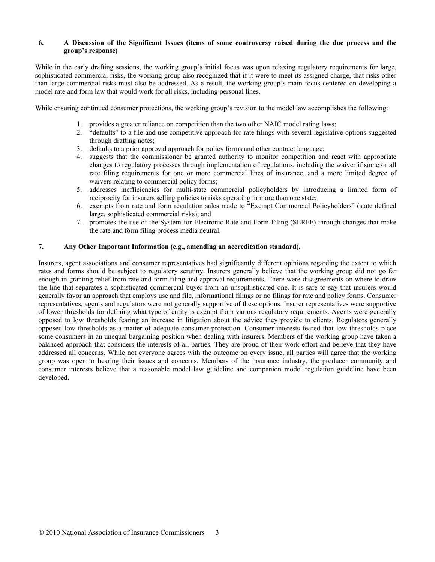## **6. A Discussion of the Significant Issues (items of some controversy raised during the due process and the group's response)**

While in the early drafting sessions, the working group's initial focus was upon relaxing regulatory requirements for large, sophisticated commercial risks, the working group also recognized that if it were to meet its assigned charge, that risks other than large commercial risks must also be addressed. As a result, the working group's main focus centered on developing a model rate and form law that would work for all risks, including personal lines.

While ensuring continued consumer protections, the working group's revision to the model law accomplishes the following:

- 1. provides a greater reliance on competition than the two other NAIC model rating laws;
- 2. "defaults" to a file and use competitive approach for rate filings with several legislative options suggested through drafting notes;
- 3. defaults to a prior approval approach for policy forms and other contract language;
- 4. suggests that the commissioner be granted authority to monitor competition and react with appropriate changes to regulatory processes through implementation of regulations, including the waiver if some or all rate filing requirements for one or more commercial lines of insurance, and a more limited degree of waivers relating to commercial policy forms;
- 5. addresses inefficiencies for multi-state commercial policyholders by introducing a limited form of reciprocity for insurers selling policies to risks operating in more than one state;
- 6. exempts from rate and form regulation sales made to "Exempt Commercial Policyholders" (state defined large, sophisticated commercial risks); and
- 7. promotes the use of the System for Electronic Rate and Form Filing (SERFF) through changes that make the rate and form filing process media neutral.

# **7. Any Other Important Information (e.g., amending an accreditation standard).**

Insurers, agent associations and consumer representatives had significantly different opinions regarding the extent to which rates and forms should be subject to regulatory scrutiny. Insurers generally believe that the working group did not go far enough in granting relief from rate and form filing and approval requirements. There were disagreements on where to draw the line that separates a sophisticated commercial buyer from an unsophisticated one. It is safe to say that insurers would generally favor an approach that employs use and file, informational filings or no filings for rate and policy forms. Consumer representatives, agents and regulators were not generally supportive of these options. Insurer representatives were supportive of lower thresholds for defining what type of entity is exempt from various regulatory requirements. Agents were generally opposed to low thresholds fearing an increase in litigation about the advice they provide to clients. Regulators generally opposed low thresholds as a matter of adequate consumer protection. Consumer interests feared that low thresholds place some consumers in an unequal bargaining position when dealing with insurers. Members of the working group have taken a balanced approach that considers the interests of all parties. They are proud of their work effort and believe that they have addressed all concerns. While not everyone agrees with the outcome on every issue, all parties will agree that the working group was open to hearing their issues and concerns. Members of the insurance industry, the producer community and consumer interests believe that a reasonable model law guideline and companion model regulation guideline have been developed.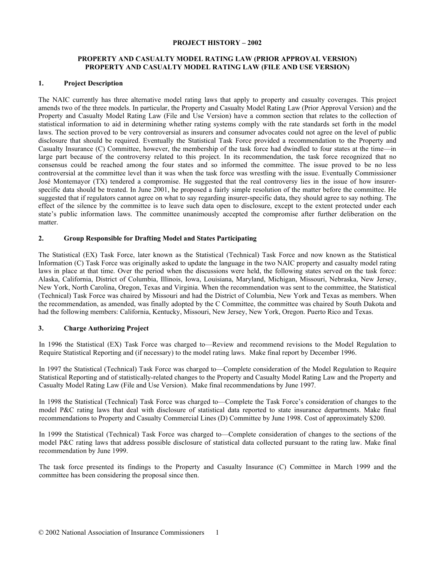#### **PROJECT HISTORY – 2002**

## **PROPERTY AND CASUALTY MODEL RATING LAW (PRIOR APPROVAL VERSION) PROPERTY AND CASUALTY MODEL RATING LAW (FILE AND USE VERSION)**

## **1. Project Description**

The NAIC currently has three alternative model rating laws that apply to property and casualty coverages. This project amends two of the three models. In particular, the Property and Casualty Model Rating Law (Prior Approval Version) and the Property and Casualty Model Rating Law (File and Use Version) have a common section that relates to the collection of statistical information to aid in determining whether rating systems comply with the rate standards set forth in the model laws. The section proved to be very controversial as insurers and consumer advocates could not agree on the level of public disclosure that should be required. Eventually the Statistical Task Force provided a recommendation to the Property and Casualty Insurance (C) Committee, however, the membership of the task force had dwindled to four states at the time—in large part because of the controversy related to this project. In its recommendation, the task force recognized that no consensus could be reached among the four states and so informed the committee. The issue proved to be no less controversial at the committee level than it was when the task force was wrestling with the issue. Eventually Commissioner José Montemayor (TX) tendered a compromise. He suggested that the real controversy lies in the issue of how insurerspecific data should be treated. In June 2001, he proposed a fairly simple resolution of the matter before the committee. He suggested that if regulators cannot agree on what to say regarding insurer-specific data, they should agree to say nothing. The effect of the silence by the committee is to leave such data open to disclosure, except to the extent protected under each state's public information laws. The committee unanimously accepted the compromise after further deliberation on the matter.

### **2. Group Responsible for Drafting Model and States Participating**

The Statistical (EX) Task Force, later known as the Statistical (Technical) Task Force and now known as the Statistical Information (C) Task Force was originally asked to update the language in the two NAIC property and casualty model rating laws in place at that time. Over the period when the discussions were held, the following states served on the task force: Alaska, California, District of Columbia, Illinois, Iowa, Louisiana, Maryland, Michigan, Missouri, Nebraska, New Jersey, New York, North Carolina, Oregon, Texas and Virginia. When the recommendation was sent to the committee, the Statistical (Technical) Task Force was chaired by Missouri and had the District of Columbia, New York and Texas as members. When the recommendation, as amended, was finally adopted by the C Committee, the committee was chaired by South Dakota and had the following members: California, Kentucky, Missouri, New Jersey, New York, Oregon. Puerto Rico and Texas.

## **3. Charge Authorizing Project**

In 1996 the Statistical (EX) Task Force was charged to—Review and recommend revisions to the Model Regulation to Require Statistical Reporting and (if necessary) to the model rating laws. Make final report by December 1996.

In 1997 the Statistical (Technical) Task Force was charged to—Complete consideration of the Model Regulation to Require Statistical Reporting and of statistically-related changes to the Property and Casualty Model Rating Law and the Property and Casualty Model Rating Law (File and Use Version). Make final recommendations by June 1997.

In 1998 the Statistical (Technical) Task Force was charged to—Complete the Task Force's consideration of changes to the model P&C rating laws that deal with disclosure of statistical data reported to state insurance departments. Make final recommendations to Property and Casualty Commercial Lines (D) Committee by June 1998. Cost of approximately \$200.

In 1999 the Statistical (Technical) Task Force was charged to—Complete consideration of changes to the sections of the model P&C rating laws that address possible disclosure of statistical data collected pursuant to the rating law. Make final recommendation by June 1999.

The task force presented its findings to the Property and Casualty Insurance (C) Committee in March 1999 and the committee has been considering the proposal since then.